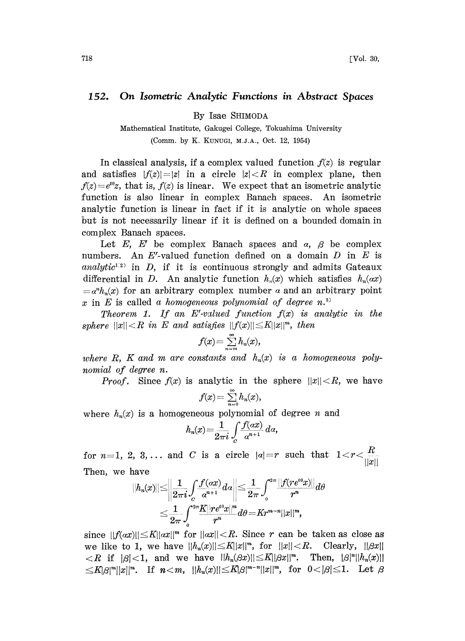## 152. On Isometric Analytic Functions in Abstract Spaces

By Isae SHIMODA

Mathematical Institute, Gakugei College, Tokushima University (Comm. by K. KUNUGI, M.J.A., Oct. 12, 1954)

In classical analysis, if a complex valued function  $f(z)$  is regular and satisfies  $|f(z)|=|z|$  in a circle  $|z|< R$  in complex plane, then  $f(z)=e^{i\theta}z$ , that is,  $f(z)$  is linear. We expect that an isometric analytic function is also linear in complex Banaeh spaces. An isometric analytic function is linear in fact if it is analyie on whole spaces but is not necessarily linear if it is defined on a bounded domain in complex Banaeh spaces.

Let E, E' be complex Banach spaces and  $\alpha$ ,  $\beta$  be complex numbers. An E'-valued function defined on a domain  $D$  in  $E$  is analytic<sup>1,2)</sup> in D, if it is continuous strongly and admits Gateaux differential in D. An analytic function  $h_n(x)$  which satisfies  $h_n(ax)$  $=a<sup>n</sup>h<sub>n</sub>(x)$  for an arbitrary complex number a and an arbitrary point x in E is called a homogeneous polynomial of degree  $n^{3}$ 

Theorem 1. If an E'-valued function  $f(x)$  is analytic in the sphere  $||x|| < R$  in E and satisfies  $||f(x)|| \le K||x||^m$ , then

$$
f(x) = \sum_{n=m}^{\infty} h_n(x),
$$

where R, K and m are constants and  $h_n(x)$  is a homogeneous polynomial of degree n.

*Proof.* Since  $f(x)$  is analytic in the sphere  $||x|| < R$ , we have

$$
f(x) = \sum_{n=0}^{\infty} h_n(x),
$$

where  $h_n(x)$  is a homogeneous polynomial of degree n and

$$
h_n(x) = \frac{1}{2\pi i} \int_c \frac{f(ax)}{a^{n+1}} da,
$$

for  $n=1, 2, 3, \ldots$  and C is a circle  $|\alpha|=r$  such that  $1 < r < \frac{R}{||x||}$ Then, we have

h (x)ll <sup>r</sup> <sup>C</sup> 2 rn

since  $||f(ax)|| \le K||ax||^m$  for  $||ax|| < R$ . Since r can be taken as close as we like to 1, we have  $||h_n(x)|| \le K ||x||^m$ , for  $||x|| < R$ . Clearly,  $||\beta x||$  $\langle R \rangle \leq R$  if  $|\beta| \langle 1|$ , and we have  $||h_n(\beta x)|| \leq K ||\beta x||^m$ . Then,  $|\beta|^n ||h_n(x)||$  $\leq K|\beta|^m||x||^m$ . If  $n < m$ ,  $||h_n(x)|| \leq K|\beta|^{m-n}||x||^m$ , for  $0 < |\beta| \leq 1$ . Let  $\beta$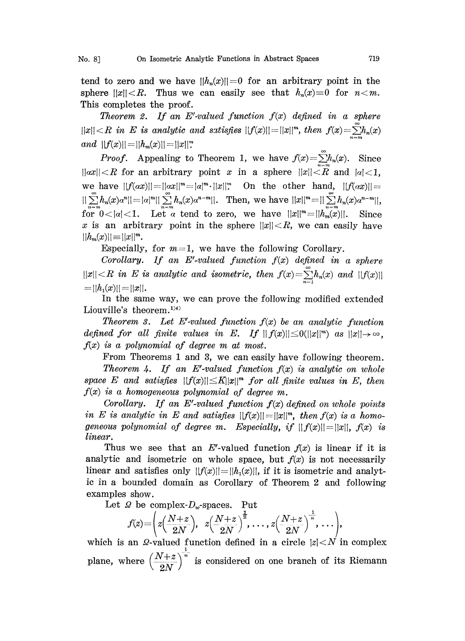tend to zero and we have  $||h_n(x)||=0$  for an arbitrary point in the sphere  $||x|| < R$ . Thus we can easily see that  $h_n(x) \equiv 0$  for  $n < m$ . This completes the proof.

Theorem 2. If an E'-valued function  $f(x)$  defined in a sphere  $||x|| < R$  in E is analytic and satisfies  $||f(x)|| = ||x||^m$ , then  $f(x) = \sum_{n=m}^{\infty} h_n(x)$ and  $||f(x)|| = ||h_m(x)|| = ||x||^m$ .

*Proof.* Appealing to Theorem 1, we have  $f(x) = \sum_{n=1}^{\infty} h_n(x)$ . Since  $||ax|| < R$  for an arbitrary point x in a sphere  $||x|| < R$  and  $|a| < 1$ , we have  $||f(ax)|| = ||ax||^m = |a|^m \cdot ||x||^m$  On the other hand,  $||f(ax)|| =$  $|| \sum h_n(x)a^n|| = |a|^m|| \sum h_n(x)a^{n-m}||.$  Then, we have  $||x||^m = ||$ for  $0 < |\alpha| < 1$ . Let  $\alpha$  tend to zero, we have  $||x||^m = ||h_m(x)||$ . Since x is an arbitrary point in the sphere  $||x|| < R$ , we can easily have  $||h_m(x)|| \equiv ||x||^m$ .

Especially, for  $m=1$ , we have the following Corollary.

Corollary. If an E'-valued function  $f(x)$  defined in a sphere  $||x|| < R$  in E is analytic and isometric, then  $f(x) = \sum_{n=1}^{\infty} h_n(x)$  and  $||f(x)||$  $= ||h_1(x)|| = ||x||.$ 

In the same way, we can prove the following modified extended Liouville's theorem.<sup>1)4)</sup>

Theorem 3. Let E'-valued function  $f(x)$  be an analytic function defined for all finite values in E. If  $||f(x)|| \le 0(||x||^m)$  as  $||x|| \to \infty$ ,  $f(x)$  is a polynomial of degree m at most.

From Theorems 1 and 3, we can easily have following theorem. Theorem 4. If an E'-valued function  $f(x)$  is analytic on whole space E and satisfies  $||f(x)|| \le K ||x||^m$  for all finite values in E, then  $f(x)$  is a homogeneous polynomial of degree m.

Corollary. If an E'-valued function  $f(x)$  defined on whole points in E is analytic in E and satisfies  $||f(x)|| = ||x||^m$ , then  $f(x)$  is a homogeneous polynomial of degree m. Especially, if  $||f(x)|| = ||x||$ ,  $f(x)$  is linear.

Thus we see that an E'-valued function  $f(x)$  is linear if it is analytic and isometric on whole space, but  $f(x)$  is not necessarily linear and satisfies only  $||f(x)|| = ||h_1(x)||$ , if it is isometric and analytic in a bounded domain as Corollary of Theorem 2 and following examples show.

Let  $\Omega$  be complex- $D_w$ -spaces. Put

$$
f(z) = \left(z\left(\frac{N+z}{2N}\right), z\left(\frac{N+z}{2N}\right)^{\frac{1}{2}}, \ldots, z\left(\frac{N+z}{2N}\right)^{\frac{1}{n}}, \ldots\right),
$$

which is an  $\Omega$ -valued function defined in a circle  $|z| < N$  in complex which is an *s*-valued function defined in a circle  $|z| < N$  in complex<br>plane, where  $\left(\frac{N+z}{2N}\right)^{\frac{1}{n}}$  is considered on one branch of its Riemann